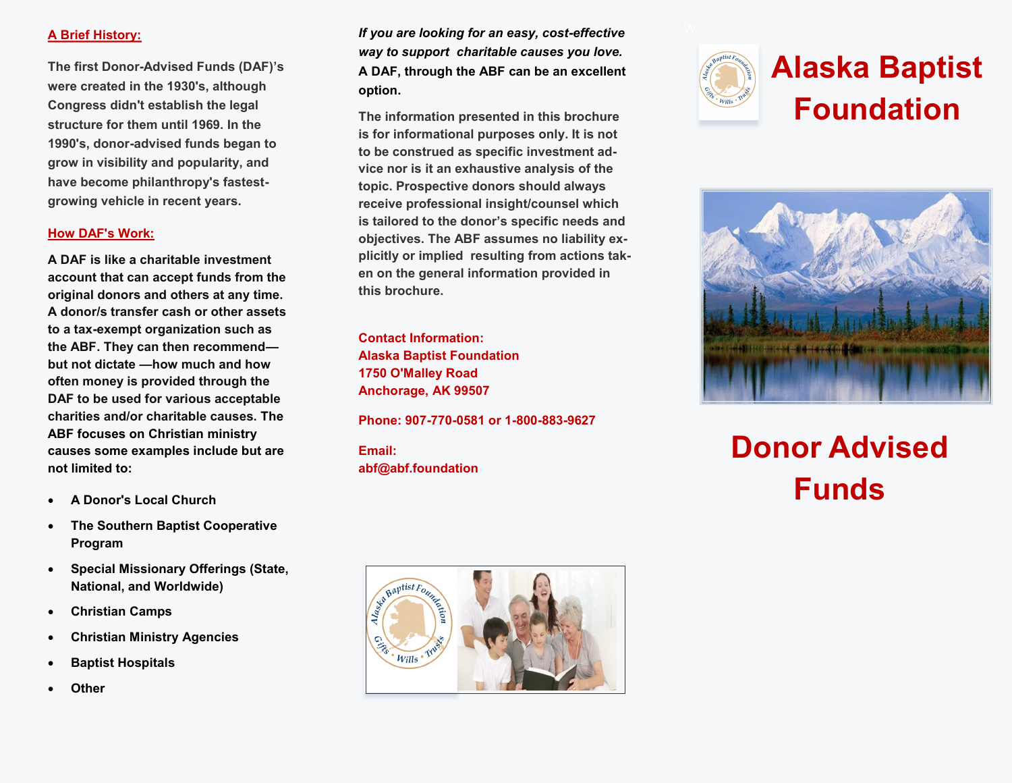## **A Brief History:**

**The first Donor-Advised Funds (DAF)'s were created in the 1930's, although Congress didn't establish the legal structure for them until 1969. In the 1990's, donor-advised funds began to grow in visibility and popularity, and have become philanthropy's fastestgrowing vehicle in recent years.**

## **How DAF's Work:**

**A DAF is like a charitable investment account that can accept funds from the original donors and others at any time. A donor/s transfer cash or other assets to a tax-exempt organization such as the ABF. They can then recommend but not dictate —how much and how often money is provided through the DAF to be used for various acceptable charities and/or charitable causes. The ABF focuses on Christian ministry causes some examples include but are not limited to:**

- **A Donor's Local Church**
- **The Southern Baptist Cooperative Program**
- **Special Missionary Offerings (State, National, and Worldwide)**
- **Christian Camps**
- **Christian Ministry Agencies**
- **Baptist Hospitals**
- **Other**

*If you are looking for an easy, cost-effective way to support charitable causes you love.*  **A DAF, through the ABF can be an excellent option.** 

**The information presented in this brochure is for informational purposes only. It is not to be construed as specific investment advice nor is it an exhaustive analysis of the topic. Prospective donors should always receive professional insight/counsel which is tailored to the donor's specific needs and objectives. The ABF assumes no liability explicitly or implied resulting from actions taken on the general information provided in this brochure.**

**Contact Information: Alaska Baptist Foundation 1750 O'Malley Road Anchorage, AK 99507**

**Phone: 907-770-0581 or 1-800-883-9627** 

**Email: abf@abf.foundation**





## **Donor Advised Funds**